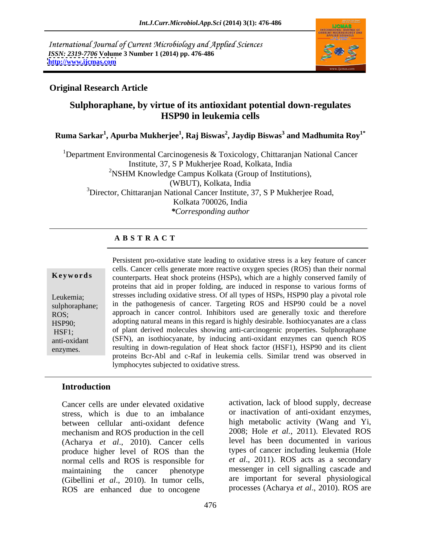International Journal of Current Microbiology and Applied Sciences *ISSN: 2319-7706* **Volume 3 Number 1 (2014) pp. 476-486 <http://www.ijcmas.com>**



## **Original Research Article**

# **Sulphoraphane, by virtue of its antioxidant potential down-regulates HSP90 in leukemia cells**

 $\bold{Ruma~Sarkar}^{1}, \bold{Apurba~Mukherjee}^{1}, \bold{Raj~Biswa}^{2}, \bold{Jaydip~Biswa}^{3}$  and  $\bold{Madhumita~Roy}^{1*}$ **and Madhumita Roy1\***

<sup>1</sup>Department Environmental Carcinogenesis & Toxicology, Chittaranjan National Cancer Institute, 37, S P Mukherjee Road, Kolkata, India <sup>2</sup>NSHM Knowledge Campus Kolkata (Group of Institutions), (WBUT), Kolkata, India  $3$ Director, Chittaranjan National Cancer Institute, 37, S P Mukherjee Road, Kolkata 700026, India *\*Corresponding author*

# **A B S T R A C T**

**Keywords** counterparts. Heat shock proteins (HSPs), which are a highly conserved family of Leukemia; stresses including oxidative stress. Of all types of HSPs, HSP90 play a pivotal role sulphoraphane; in the pathogenesis of cancer. Targeting ROS and HSP90 could be a novel ROS; approach in cancer control. Inhibitors used are generally toxic and therefore HSP90; adopting natural means in this regard is highly desirable. Isothiocyanates are a class HSF1; of plant derived molecules showing anti-carcinogenic properties. Sulphoraphane anti-oxidant (SFN), an isothiocyanate, by inducing anti-oxidant enzymes can quench ROS enzymes. resulting in down-regulation of Heat shock factor (HSF1), HSP90 and its client Persistent pro-oxidative state leading to oxidative stress is a key feature of cancer cells. Cancer cells generate more reactive oxygen species (ROS) than their normal proteins that aid in proper folding, are induced in response to various forms of proteins Bcr-Abl and c-Raf in leukemia cells. Similar trend was observed in lymphocytes subjected to oxidative stress.

# **Introduction**

Cancer cells are under elevated oxidative stress, which is due to an imbalance between cellular anti-oxidant defence mechanism and ROS production in the cell (Acharya *et al*., 2010). Cancer cells produce higher level of ROS than the normal cells and ROS is responsible for (Gibellini *et al*., 2010). In tumor cells, ROS are enhanced due to oncogene

maintaining the cancer phenotype messenger in cell signalling cascade and activation, lack of blood supply, decrease or inactivation of anti-oxidant enzymes, high metabolic activity (Wang and Yi, 2008; Hole *et al.*, 2011). Elevated ROS level has been documented in various types of cancer including leukemia (Hole *et al*., 2011). ROS acts as a secondary are important for several physiological processes (Acharya *et al*., 2010). ROS are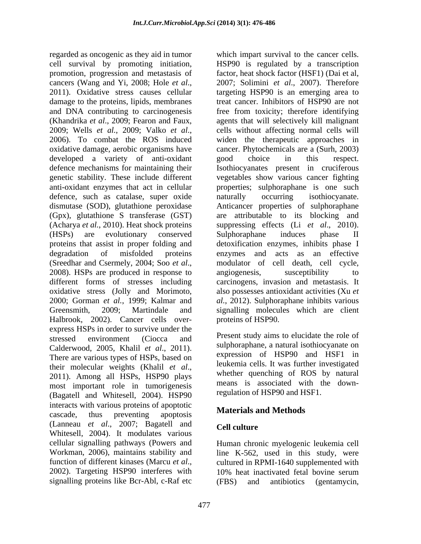cell survival by promoting initiation, HSP90 is regulated by a transcription promotion, progression and metastasis of cancers (Wang and Yi, 2008; Hole *et al.*, 2007; Solimini *et al.*, 2007). Therefore 2011). Oxidative stress causes cellular targeting HSP90 is an emerging area to damage to the proteins, lipids, membranes and DNA contributing to carcinogenesis free from toxicity; therefore identifying (Khandrika *et al*., 2009; Fearon and Faux, agents that will selectively kill malignant 2009; Wells *et al.*, 2009; Valko *et al*., 2006). To combat the ROS induced oxidative damage, aerobic organisms have cancer. Phytochemicals are a (Surh, 2003) developed a variety of anti-oxidant good choice in this respect. defence mechanisms for maintaining their Isothiocyanates present in cruciferous genetic stability. These include different anti-oxidant enzymes that act in cellular properties; sulphoraphane is one such defence, such as catalase, super oxide naturally occurring isothiocyanate. dismutase (SOD), glutathione peroxidase Anticancer properties of sulphoraphane (Gpx), glutathione S transferase (GST) are attributable to its blocking and (Acharya *et al.*, 2010). Heat shock proteins suppressing effects (Li *et al.*, 2010). (HSPs) are evolutionary conserved proteins that assist in proper folding and detoxification enzymes, inhibits phase I degradation of misfolded proteins enzymes and acts as an effective (Sreedhar and Csermely, 2004; Soo *et al.*, and modulator of cell death, cell cycle, 2008). HSPs are produced in response to angiogenesis, susceptibility to different forms of stresses including oxidative stress (Jolly and Morimoto, also possesses antioxidant activities (Xu *et*  2000; Gorman *et al.*, 1999; Kalmar and *al.*, 2012). Sulphoraphane inhibits various Greensmith, 2009; Martindale and signalling molecules which are client Halbrook, 2002). Cancer cells over express HSPs in order to survive under the stressed environment (Ciocca and Present study aims to encroate the role of Calderwood, 2005, Khalil *et al.*, 2011). Sulphoraphane, a natural isothlocyanate on expression of HSP90 and HSF1 in their molecular weights (Khalil *et al*., 2011). Among all HSPs, HSP90 plays most important role in tumorigenesis (Bagatell and Whitesell, 2004). HSP90 interacts with various proteins of apoptotic cascade, thus preventing apoptosis **Exercises in the victious** (Lanneau *et al*., 2007; Bagatell and Whitesell, 2004). It modulates various cellular signalling pathways (Powers and Human chronic myelogenic leukemia cell Workman, 2006), maintains stability and function of different kinases (Marcu *et al.*, cultured in RPMI-1640 supplemented with 2002). Targeting HSP90 interferes with 10% heat inactivated fetal bovine serum signalling proteins like Bcr-Abl, c-Raf etc (FBS) and antibiotics (gentamycin,

regarded as oncogenic as they aid in tumor which impart survival to the cancer cells. factor, heat shock factor (HSF1) (Dai et al, 2007; Solimini *et al*., 2007). Therefore targeting HSP90 is an emerging area to treat cancer. Inhibitors of HSP90 are not cells without affecting normal cells will widen the therapeutic approaches in good choice in this respect. vegetables show various cancer fighting naturally occurring isothiocyanate. suppressing effects (Li *et al*., 2010). Sulphoraphane induces phase II modulator of cell death, cell cycle, angiogenesis, susceptibility to carcinogens, invasion and metastasis. It proteins of HSP90.

> Present study aims to elucidate the role of sulphoraphane, a natural isothiocyanate on expression of HSP90 and HSF1 in leukemia cells. It was further investigated whether quenching of ROS by natural means is associated with the downregulation of HSP90 and HSF1.

# **Materials and Methods**

## **Cell culture**

line K-562, used in this study, were cultured in RPMI-1640 supplemented with 10% heat inactivated fetal bovine serum (FBS) and antibiotics (gentamycin,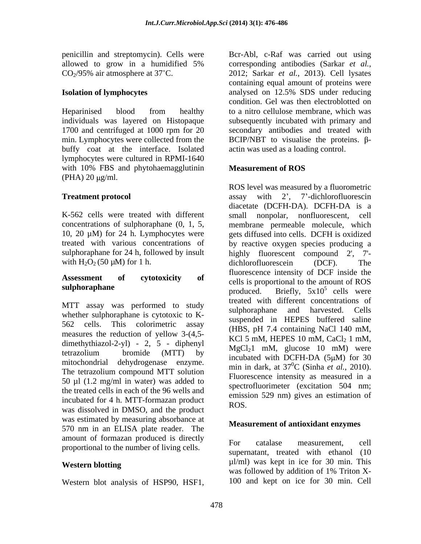1700 and centrifuged at 1000 rpm for 20 buffy coat at the interface. Isolated lymphocytes were cultured in RPMI-1640 with 10% FBS and phytohaemagglutinin **Measurement of ROS**  $(PHA)$  20  $\mu$ g/ml.

with  $H_2O_2(50 \mu M)$  for 1 h. dichlorofluorescein (DCF). The

MTT assay was performed to study<br>sulphoraphane and harvested. Cells whether sulphoraphane is cytotoxic to K measures the reduction of yellow 3-(4,5 dimethythiazol-2-yl) - 2, 5 - diphenyl mitochondrial dehydrogenase enzyme. The tetrazolium compound MTT solution<br>Fluorescence intensity as measured in a 50  $\mu$ l (1.2 mg/ml in water) was added to the treated cells in each of the 96 wells and incubated for 4 h. MTT-formazan product  $ROS$ was dissolved in DMSO, and the product was estimated by measuring absorbance at 570 nm in an ELISA plate reader. The amount of formazan produced is directly<br>
For catalase measurement, cell proportional to the number of living cells.

penicillin and streptomycin). Cells were Bcr-Abl, c-Raf was carried out using allowed to grow in a humidified 5% corresponding antibodies (Sarkar et al.,  $CO<sub>2</sub>/95\%$  air atmosphere at 37°C. 2012; Sarkar *et al.*, 2013). Cell lysates **Isolation of lymphocytes** analysed on 12.5% SDS under reducing Heparinised blood from healthy to a nitro-cellulose membrane, which was individuals was layered on Histopaque subsequently incubated with primary and min. Lymphocytes were collected from the  $BCIP/NET$  to visualise the proteins.  $\beta$ corresponding antibodies (Sarkar *et al.*, 2012; Sarkar *et al.*, 2013). Cell lysates containing equal amount of proteins were analysed on 12.5% SDS under reducing condition. Gel was then electroblotted on to a nitro cellulose membrane, which was secondary antibodies and treated with actin was used as a loading control.

## **Measurement of ROS**

**Treatment protocol** assay with 2', 7'-dichlorofluorescin K-562 cells were treated with different small nonpolar, nonfluorescent, cell concentrations of sulphoraphane (0, 1, 5, membrane permeable molecule, which 10, 20 µM) for 24 h. Lymphocytes were gets diffused into cells. DCFH is oxidized treated with various concentrations of by reactive oxygen species producing a sulphoraphane for 24 h, followed by insult highly fluorescent compound 2', 7'- **Assessment of cytotoxicity of** cells is proportional to the amount of ROS **sulphoraphane** and **such a substantial conduct of the surface support of the surface support of the surface support of the surface support of the surface support of the surface support of the surface support of the surfac**  $562$  cells. This colorimetric assay  $562 \times 117.4$  containing NoCl 140 mM tetrazolium bromide (MTT) by  $\frac{MgC_{12}}{mgh \log M}$  him, gracosc to final well pencillin and stephotone)<br>
pencillin and stephony in a humidified 5% corresponding antibolis (Stark ar et al., 2012; Stark ar et al., 2013). Stark part et al., 2013). Stark part et al., 2013, Stark are al., 2013, Stark ar ROS level was measured by a fluorometric assay with 2', 7'-dichlorofluorescin diacetate (DCFH-DA). DCFH-DA is a dichlorofluorescein (DCF). The fluorescence intensity of DCF inside the produced. Briefly,  $5x10^5$  cells were treated with different concentrations of sulphoraphane and harvested. Cells suspended in HEPES buffered saline (HBS, pH 7.4 containing NaCl 140 mM, KCl 5 mM, HEPES 10 mM,  $CaCl<sub>2</sub>$  1 mM,  $MgCl<sub>2</sub>1$  mM, glucose 10 mM) were incubated with DCFH-DA  $(5 \mu M)$  for 30 min in dark, at  $37^0C$  (Sinha *et al.*, 2010). min in dark, at  $37^0C$  (Sinha *et al.*, 2010).<br>Fluorescence intensity as measured in a spectrofluorimeter (excitation 504 nm; emission 529 nm) gives an estimation of ROS.

## **Measurement of antioxidant enzymes**

**Western blotting**  $\mu$ l/ml) was kept in ice for 30 min. This For catalase measurement, cell supernatant, treated with ethanol (10 was followed by addition of 1% Triton X- 100 and kept on ice for 30 min. Cell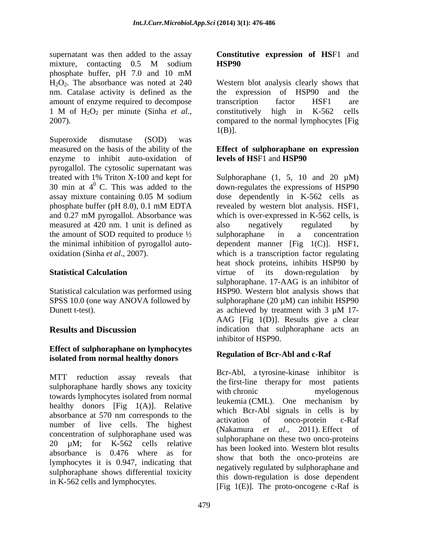supernatant was then added to the assay **Constitutive expression of HS**F1 and mixture, contacting 0.5 M sodium **HSP90** phosphate buffer, pH 7.0 and 10 mM amount of enzyme required to decompose transcription factor HSF1 are

measured on the basis of the ability of the **Effect of sulphoraphane on expression** enzyme to inhibit auto-oxidation of pyrogallol. The cytosolic supernatant was measured at 420 nm. 1 unit is defined as also negatively regulated by the amount of SOD requited to produce  $\frac{1}{2}$  sulphoraphane in a concentration

Dunett t-test). as achieved by treatment with 3  $\mu$ M 17-

### **Effect of sulphoraphane on lymphocytes isolated from normal healthy donors**

MTT reduction assay reveals that  $\frac{BCI-TOI}{A}$ , a cyrosine-Kinase infinition is sulphoraphane hardly shows any toxicity with chronic merapy for most patients myelogenous towards lymphocytes isolated from normal healthy donors  $[Fig 1(A)]$ . Relative absorbance at 570 nm corresponds to the activation of onco-protein c-Raf number of live cells. The highest concentration of sulphoraphane used was 20 µM; for K-562 cells relative absorbance is 0.476 where as for lymphocytes it is 0.947, indicating that sulphoraphane shows differential toxicity in K-562 cells and lymphocytes.

# **HSP90**

 $H_2O_2$ . The absorbance was noted at 240 Western blot analysis clearly shows that nm. Catalase activity is defined as the the expression of HSP90 and the 1 M of H<sub>2</sub>O<sub>2</sub> per minute (Sinha *et al.*, constitutively high in K-562 cells compared to the normal lymphocytes [Fig 1(B)].<br>2007). Superoxide dismutase (SOD) was transcription factor HSF1 are constitutively high in K-562 cells compared to the normal lymphocytes [Fig  $1(B)$ ].

# **levels of HS**F1 and **HSP90**

treated with 1% Triton X-100 and kept for Sulphoraphane  $(1, 5, 10$  and  $20 \mu M$ ) 30 min at  $4^{\circ}$  C. This was added to the down-regulates the expressions of HSP90 assay mixture containing 0.05 M sodium dose dependently in K-562 cells as phosphate buffer (pH 8.0), 0.1 mM EDTA revealed by western blot analysis. HSF1, and 0.27 mM pyrogallol. Absorbance was which is over-expressed in K-562 cells, is the minimal inhibition of pyrogallol auto- dependent manner [Fig 1(C)]. HSF1, oxidation (Sinha *et al*., 2007). which is a transcription factor regulating **Statistical Calculation Statistical Calculation Statistical Calculation Statistical Calculation** Statistical calculation was performed using HSP90. Western blot analysis shows that SPSS 10.0 (one way ANOVA followed by sulphoraphane (20  $\mu$ M) can inhibit HSP90 **Results and Discussion indication** that sulphoraphane acts an dose dependently in K-562 cells as revealed by western blot analysis. HSF1, which is over-expressed in K-562 cells, is also negatively regulated by sulphoraphane in a concentration heat shock proteins, inhibits HSP90 by virtue of its down-regulation by sulphoraphane. 17-AAG is an inhibitor of as achieved by treatment with  $3 \mu M$  17-AAG [Fig 1(D)]. Results give a clear inhibitor of HSP90.

### **Regulation of Bcr-Abl and c-Raf**

Bcr-Abl, a tyrosine-kinase inhibitor is the first-line therapy for most patients with chronic myelogenous leukemia (CML). One mechanism by which Bcr-Abl signals in cells is by activation of onco-protein c-Raf (Nakamura *et al*., 2011). Effect of sulphoraphane on these two onco-proteins has been looked into. Western blot results show that both the onco-proteins are negatively regulated by sulphoraphane and this down-regulation is dose dependent [Fig  $1(E)$ ]. The proto-oncogene c-Raf is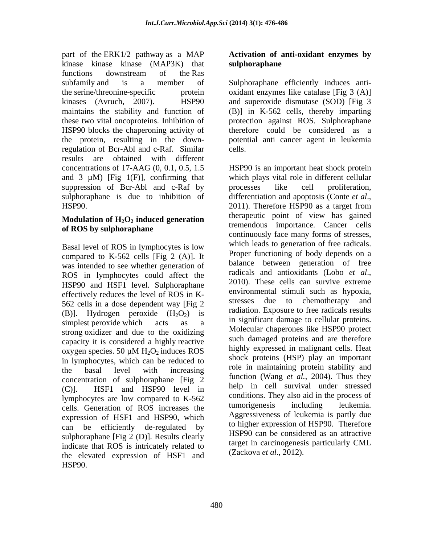part of the ERK1/2 pathway as a MAP **Activation of anti-oxidant enzymes by** kinase kinase kinase (MAP3K) that functions downstream of the Ras subfamily and is a member of Sulphoraphane efficiently induces anti the serine/threonine-specific protein oxidant enzymes like catalase [Fig 3 (A)] kinases (Avruch, 2007). HSP90 and superoxide dismutase (SOD) [Fig 3 maintains the stability and function of (B)] in K-562 cells, thereby imparting these two vital oncoproteins. Inhibition of protection against ROS. Sulphoraphane HSP90 blocks the chaperoning activity of therefore could be considered as a the protein, resulting in the down-potential anti cancer agent in leukemia regulation of Bcr-Abl and c-Raf. Similar results are obtained with different and 3  $\mu$ M) [Fig 1(F)], confirming that suppression of Bcr-Abl and c-Raf by processes like cell proliferation, sulphoraphane is due to inhibition of differentiation and apoptosis (Conte et al., HSP90. 2011). Therefore HSP90 as a target from

# **Modulation** of  $H_2O_2$  **induced generation**

compared to  $K-562$  cells [Fig 2 (A)]. It was intended to see whether generation of the balance between generation of tree<br>ROS in lumphosities, sould effect the radicals and antioxidants (Lobo *et al.*, ROS in lymphocytes could affect the radicals and antioxidants (LODO *et al.*,  $2010$ ). These cells can survive extreme HSP90 and HSF1 level. Sulphoraphane effectively reduces the level of ROS in K-<br> $\frac{1}{2}$  environmental stimuli such as hypoxia,<br> $\frac{1}{2}$  extresses due to chemotherapy and 562 cells in a dose dependent way [Fig 2 (B)]. Hydrogen peroxide  $(H_2O_2)$  is strong oxidizer and due to the oxidizing capacity it is considered a highly reactive in lymphocytes, which can be reduced to concentration of sulphoraphane [Fig 2 (C)]. HSF1 and HSP90 level in lymphocytes are low compared to  $K-562$  conditions. They also aid in the process of colleged and the process of condition of  $POS$  increases the tumorigenesis including leukemia. cells. Generation of ROS increases the expression of HSF1 and HSP90, which can be efficiently de-regulated by sulphoraphane [Fig 2 (D)]. Results clearly indicate that ROS is intricately related to the elevated expression of HSF1 and HSP90.

# **sulphoraphane**

cells.

concentrations of 17-AAG (0, 0.1, 0.5, 1.5 HSP90 is an important heat shock protein of ROS by sulphoraphane<br>continuously face many forms of stresses, Basal level of ROS in lymphocytes is low which leads to generation of free radicals. simplest peroxide which  $\alpha$  acts as a  $\alpha$  in significant damage to centual proteins. oxygen species. 50  $\mu$ M H<sub>2</sub>O<sub>2</sub> induces ROS highly expressed in manghant cells. Heat the basal level with increasing the infinantial protein stability and which plays vital role in different cellular processes like cell proliferation, differentiation and apoptosis (Conte *et al*., 2011). Therefore HSP90 as <sup>a</sup> target from therapeutic point of view has gained tremendous importance. Cancer cells continuously face many forms of stresses, which leads to generation of free radicals. Proper functioning of body depends on a balance between generation of free radicals and antioxidants (Lobo *et al*., 2010). These cells can survive extreme environmental stimuli such as hypoxia, stresses due to chemotherapy and radiation. Exposure to free radicals results in significant damage to cellular proteins. Molecular chaperones like HSP90 protect such damaged proteins and are therefore highly expressed in malignant cells. Heat shock proteins (HSP) play an important role in maintaining protein stability and function (Wang *et al.*, 2004). Thus they help in cell survival under stressed conditions. They also aid in the process of tumorigenesis including leukemia. Aggressiveness of leukemia is partly due to higher expression of HSP90. Therefore HSP90 can be considered as an attractive target in carcinogenesis particularly CML (Zackova *et al*., 2012).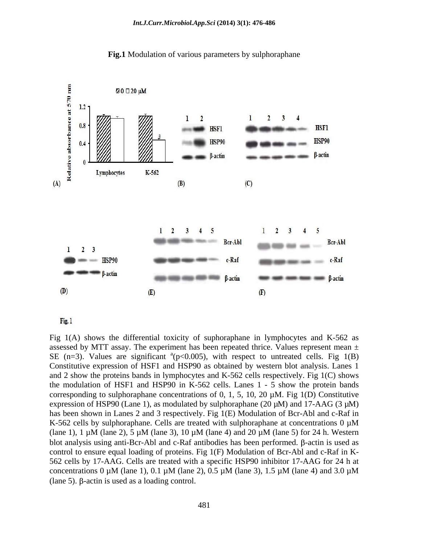



Fig. 1

Fig 1(A) shows the differential toxicity of suphoraphane in lymphocytes and K-562 as assessed by MTT assay. The experiment has been repeated thrice. Values represent mean  $\pm$ SE (n=3). Values are significant  ${}^{a}$ (p<0.005), with respect to untreated cells. Fig 1(B) Constitutive expression of HSF1 and HSP90 as obtained by western blot analysis. Lanes 1 and 2 show the proteins bands in lymphocytes and K-562 cells respectively. Fig 1(C) shows the modulation of HSF1 and HSP90 in K-562 cells. Lanes 1 - 5 show the protein bands corresponding to sulphoraphane concentrations of 0, 1, 5, 10, 20  $\mu$ M. Fig 1(D) Constitutive expression of HSP90 (Lane 1), as modulated by sulphoraphane (20  $\mu$ M) and 17-AAG (3  $\mu$ M) has been shown in Lanes 2 and 3 respectively. Fig 1(E) Modulation of Bcr-Abl and c-Raf in K-562 cells by sulphoraphane. Cells are treated with sulphoraphane at concentrations  $0 \mu M$ (lane 1), 1  $\mu$ M (lane 2), 5  $\mu$ M (lane 3), 10  $\mu$ M (lane 4) and 20  $\mu$ M (lane 5) for 24 h. Western blot analysis using anti-Bcr-Abl and c-Raf antibodies has been performed.  $\beta$ -actin is used as control to ensure equal loading of proteins. Fig 1(F) Modulation of Bcr-Abl and c-Raf in K- 562 cells by 17-AAG. Cells are treated with a specific HSP90 inhibitor 17-AAG for 24 h at concentrations 0  $\mu$ M (lane 1), 0.1  $\mu$ M (lane 2), 0.5  $\mu$ M (lane 3), 1.5  $\mu$ M (lane 4) and 3.0  $\mu$ M  $(\text{lane } 5)$ .  $\beta$ -actin is used as a loading control.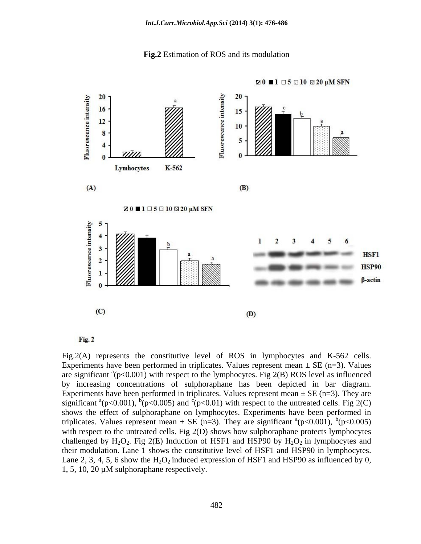



Fig. 2

Fig.2(A) represents the constitutive level of ROS in lymphocytes and K-562 cells. Experiments have been performed in triplicates. Values represent mean  $\pm$  SE (n=3). Values are significant  $^{a}(p<0.001)$  with respect to the lymphocytes. Fig 2(B) ROS level as influenced by increasing concentrations of sulphoraphane has been depicted in bar diagram. Experiments have been performed in triplicates. Values represent mean  $\pm$  SE (n=3). They are significant  $^{a}(p<0.001)$ ,  $^{b}(p<0.005)$  and  $^{c}(p<0.01)$  with respect to the untreated cells. Fig 2(C) shows the effect of sulphoraphane on lymphocytes. Experiments have been performed in triplicates. Values represent mean  $\pm$  SE (n=3). They are significant  $^{a}(p<0.001)$ ,  $^{b}(p<0.005)$  $(p<0.001)$ ,  $^{b}(p<0.005)$  $(p<0.005)$ with respect to the untreated cells. Fig 2(D) shows how sulphoraphane protects lymphocytes challenged by  $H_2O_2$ . Fig 2(E) Induction of HSF1 and HSP90 by  $H_2O_2$  in lymphocytes and their modulation. Lane 1 shows the constitutive level of HSF1 and HSP90 in lymphocytes. Lane 2, 3, 4, 5, 6 show the  $H_2O_2$  induced expression of HSF1 and HSP90 as influenced by 0, 1, 5, 10, 20 µM sulphoraphane respectively.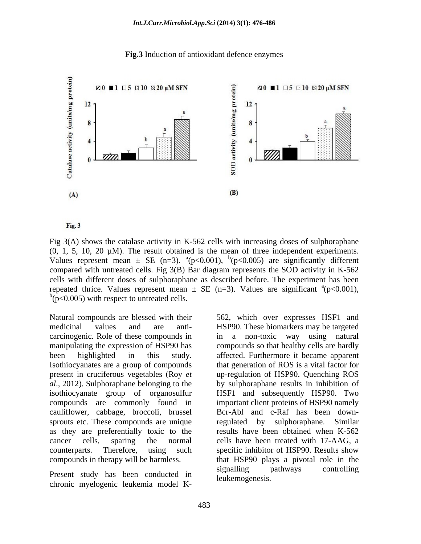### **Fig.3** Induction of antioxidant defence enzymes



Fig. 3

Fig 3(A) shows the catalase activity in K-562 cells with increasing doses of sulphoraphane  $(0, 1, 5, 10, 20 \mu M)$ . The result obtained is the mean of three independent experiments. Values represent mean  $\pm$  SE (n=3). <sup>a</sup>(p<0.001), <sup>b</sup>(p<0.005) are significantly different compared with untreated cells. Fig 3(B) Bar diagram represents the SOD activity in K-562 cells with different doses of sulphoraphane as described before. The experiment has been repeated thrice. Values represent mean  $\pm$  SE (n=3). Values are significant  $\alpha$ (p<0.001), (p<0.001),  $\bar{b}$ ( $\bar{p}$ <0.005) with respect to untreated cells.

Natural compounds are blessed with their 562, which over expresses HSF1 and carcinogenic. Role of these compounds in Isothiocyanates are a group of compounds sprouts etc. These compounds are unique regulated by sulphoraphane. Similar

medicinal values and are anti- HSP90. These biomarkers may be targeted manipulating the expression of HSP90 has compounds so that healthy cells are hardly been highlighted in this study. affected. Furthermore it became apparent present in cruciferous vegetables (Roy *et*  up-regulation of HSP90. Quenching ROS *al*., 2012). Sulphoraphane belonging to the by sulphoraphane results in inhibition of isothiocyanate group of organosulfur HSF1 and subsequently HSP90. Two compounds are commonly found in important client proteins of HSP90 namely cauliflower, cabbage, broccoli, brussel Bcr-Abl and c-Raf has been downas they are preferentially toxic to the results have been obtained when K-562 cancer cells, sparing the normal cells have been treated with 17-AAG, a counterparts. Therefore, using such specific inhibitor of HSP90. Results show compounds in therapy will be harmless. that HSP90 plays a pivotal role in the Present study has been conducted in signalling pathways controlling Natural compounds are blessed with their 562, which over expresses HSF1 and meanical values and are anti- HSP90. These biomarkers may be targeted correlational values and are anti-minimiply the expression of HSP90 has comp in a non-toxic way using natural that generation of ROS is a vital factor for regulated by sulphoraphane. Similar signalling pathways controlling leukemogenesis.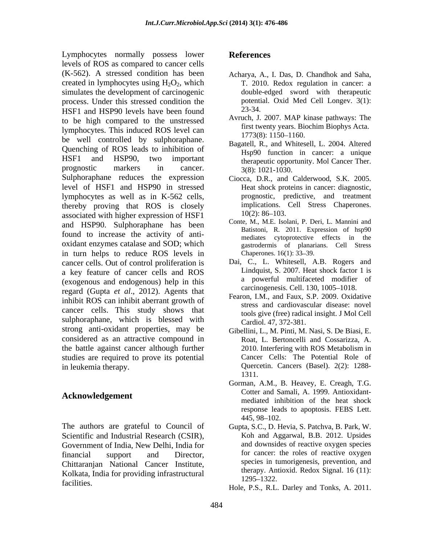Lymphocytes normally possess lower References levels of ROS as compared to cancer cells (K-562). A stressed condition has been created in lymphocytes using  $H_2O_2$ , which simulates the development of carcinogenic process. Under this stressed condition the potential potential process. Under this stress have been found and the 23-34. HSF1 and HSP90 levels have been found to be high compared to the unstressed<br>Imperior of the unstressed<br>Imperior of the induced POS laval contains the first twenty years. Biochim Biophys Acta. lymphocytes. This induced ROS level can<br>1773(8): 1150–1160. be well controlled by sulphoraphane. Quenching of ROS leads to inhibition of HSF1 and HSP90, two important therapeutic opportunity. Mol Cancer Ther. prognostic markers in cancer.  $3(8)$ :  $1021-1030$ . Sulphoraphane reduces the expression level of HSF1 and HSP90 in stressed lymphocytes as well as in K-562 cells, thereby proving that ROS is closely implications. Cell Stress Chaperones. associated with higher expression of  $HSF1$   $10(2): 86-103$ . and HSP90. Sulphoraphane has been found to increase the activity of anti oxidant enzymes catalase and SOD; which in turn helps to reduce ROS levels in Chaperones. 16(1): 33–39. cancer cells. Out of control proliferation is a key feature of cancer cells and ROS (exogenous and endogenous) help in this regard (Gupta *et al*., 2012). Agents that inhibit ROS can inhibit aberrant growth of cancer cells. This study shows that sulphoraphane, which is blessed with strong anti-oxidant properties, may be considered as an attractive compound in the battle against cancer although further 2010. Interfering with ROS Metabolism in studies are required to prove its potential in leukemia therapy.

### **Acknowledgement**

The authors are grateful to Council of Gupta, S.C., D. Hevia, S. Patchva, B. Park, W. Scientific and Industrial Research (CSIR), Government of India, New Delhi, India for financial support and Director, the roles of reactive oxygen Chittaranjan National Cancer Institute, Kolkata, India for providing infrastructural the therapy. All<br>1295–1322. facilities.<br>
Hole, P.S., R.L. Darley and Tonks, A. 2011.

### **References**

- Acharya, A., I. Das, D. Chandhok and Saha, T. 2010. Redox regulation in cancer: a double-edged sword with therapeutic potential. Oxid Med Cell Longev. 3(1): 23-34.
- Avruch, J. 2007. MAP kinase pathways: The first twenty years. Biochim Biophys Acta.<br>1773(8): 1150–1160.
- Bagatell, R., and Whitesell, L. 2004. Altered Hsp90 function in cancer: a unique 3(8): 1021-1030.
- Ciocca, D.R., and Calderwood, S.K. 2005. Heat shock proteins in cancer: diagnostic, prognostic, predictive, and treatment implications. Cell Stress Chaperones.  $10(2)$ : 86–103.
- Conte, M., M.E. Isolani, P. Deri, L. Mannini and Batistoni, R. 2011. Expression of hsp90 mediates cytoprotective effects in the gastrodermis of planarians. Cell Stress Chaperones.  $16(1)$ : 33–39.
- Dai, C., L. Whitesell, A.B. Rogers and Lindquist, S. 2007. Heat shock factor 1 is a powerful multifaceted modifier of carcinogenesis. Cell. 130, 1005-1018.
- Fearon, I.M., and Faux, S.P. 2009. Oxidative stress and cardiovascular disease: novel tools give (free) radical insight. J Mol Cell Cardiol. 47, 372-381.
- Gibellini, L., M. Pinti, M. Nasi, S. De Biasi, E. Roat, L. Bertoncelli and Cossarizza, A. 2010. Interfering with ROS Metabolism in Cancer Cells: The Potential Role of Quercetin. Cancers (Basel). 2(2): 1288- 1311.
- Gorman, A.M., B. Heavey, E. Creagh, T.G. Cotter and Samali, A. 1999. Antioxidant mediated inhibition of the heat shock response leads to apoptosis. FEBS Lett.  $445, 98 - 102.$
- Koh and Aggarwal, B.B. 2012. Upsides and downsides of reactive oxygen species for cancer: the roles of reactive oxygen species in tumorigenesis, prevention, and therapy. Antioxid. Redox Signal. 16 (11): 1295 1322.
-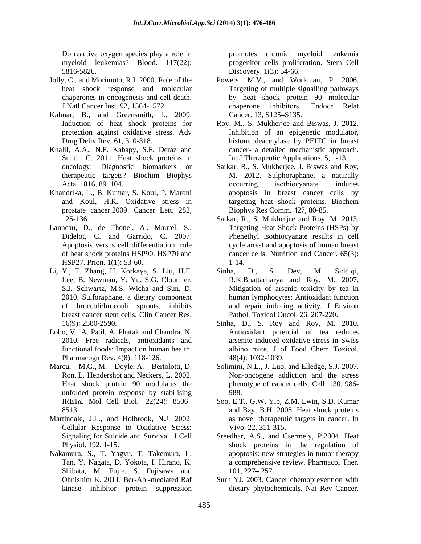myeloid leukemias? Blood. 117(22): progenitor cells proliferation. Stem Cell 5816-5826. Discovery. 1(3): 54-66.

- 
- Kalmar, B., and Greensmith, L. 2009. Cancer 13, S125–S135. protection against oxidative stress. Adv
- Khalil, A.A., N.F. Kabapy, S.F. Deraz and Smith, C. 2011. Heat shock proteins in oncology: Diagnostic biomarkers or
- Khandrika, L., B. Kumar, S. Koul, P. Maroni prostate cancer.2009. Cancer Lett. 282,
- Lanneau, D., de Thonel, A., Maurel, S., Apoptosis versus cell differentiation: role HSP27. Prion. 1(1): 53-60.
- Li, Y., T. Zhang, H. Korkaya, S. Liu, H.F. Sinha, D., S. Dey, M. Siddiqi,
- Lobo, V., A. Patil, A. Phatak and Chandra, N. Pharmacogn Rev. 4(8): 118-126.
- Marcu, M.G., M. Doyle, A. Bertolotti, D. Solimini, N.L., J. Luo, and Elledge, S.J. 2007. unfolded protein response by stabilising
- Martindale, J.L., and Holbrook, N.J. 2002. Cellular Response to Oxidative Stress:
- Nakamura, S., T. Yagyu, T. Takemura, L. Tan, Y. Nagata, D. Yokota, I. Hirano, K. Shibata, M. Fujie, S. Fujisawa and 101, 227–257.

Do reactive oxygen species play a role in promotes chronic myeloid leukemia progenitor cells proliferation. Stem Cell

- Jolly, C., and Morimoto, R.I. 2000. Role of the Powers, M.V., and Workman, P. 2006. heat shock response and molecular Targeting of multiple signalling pathways chaperones in oncogenesis and cell death. by heat shock protein 90 molecular J Natl Cancer Inst. 92, 1564-1572. chaperone inhibitors. Endocr Relat Cancer. 13, S125–S135.
	- Induction of heat shock proteins for Roy, M., S. Mukherjee and Biswas, J. 2012. Drug Deliv Rev. 61, 310-318. histone deacetylase by PEITC in breast Inhibition of an epigenetic modulator, cancer- a detailed mechanistic approach. Int J Therapeutic Applications. 5, 1-13.
	- oncology: Diagnostic biomarkers or Sarkar, R., S. Mukherjee, J. Biswas and Roy, therapeutic targets? Biochim Biophys Acta. 1816, 89–104. Contract and accurring isothiocyanate induces and Koul, H.K. Oxidative stress in M. 2012. Sulphoraphane, a naturally occurring isothiocyanate induces apoptosis in breast cancer cells by targeting heat shock proteins. Biochem Biophys Res Comm. 427, 80-85.
	- 125-136. Sarkar, R., S. Mukherjee and Roy, M. 2013. Didelot, C. and Garrido, C. 2007. Phenethyl isothiocyanate results in cell of heat shock proteins HSP90, HSP70 and cancer cells. Nutrition and Cancer. 65(3): Targeting Heat Shock Proteins (HSPs) by cycle arrest and apoptosis of human breast 1-14.
	- Lee, B. Newman, Y. Yu, S.G. Clouthier, R.K.Bhattacharya and Roy, M. 2007. S.J. Schwartz, M.S. Wicha and Sun, D. Mitigation of arsenic toxicity by tea in 2010. Sulforaphane, a dietary component human lymphocytes: Antioxidant function of broccoli/broccoli sprouts, inhibits and repair inducing activity. J Environ breast cancer stem cells. Clin Cancer Res. Pathol, Toxicol Oncol. 26, 207-220. Sinha, D., S. Dey, M. Siddiqi, Pathol, Toxicol Oncol. 26, 207-220.
	- 16(9): 2580-2590. Sinha, D., S. Roy and Roy, M. 2010. 2010. Free radicals, antioxidants and arsenite induced oxidative stressin Swiss functional foods: Impact on human health. Antioxidant potential of tea reduces albino mice. J of Food Chem Toxicol. 48(4): 1032-1039.
	- Ron, L. Hendershot and Neckers, L. 2002. Non-oncogene addiction and the stress Heat shock protein 90 modulates the phenotype of cancer cells. Cell .130, 986- 988.
	- IRE1α. Mol Cell Biol. 22(24): 8506- Soo, E.T., G.W. Yip, Z.M. Lwin, S.D. Kumar 8513. and Bay, B.H. 2008. Heat shock proteins as novel therapeutic targets in cancer. In Vivo. 22, 311-315.
	- Signaling for Suicide and Survival. J Cell Sreedhar, A.S., and Csermely, P.2004. Heat Physiol. 192, 1-15. shock proteins in the regulation of apoptosis: new strategies in tumor therapy a comprehensive review. Pharmacol Ther. 101, 227–257.
	- Ohnishim K. 2011. Bcr-Abl-mediated Raf Surh YJ. 2003. Cancer chemoprevention with kinase inhibitor protein suppression dietary phytochemicals. Nat Rev Cancer.